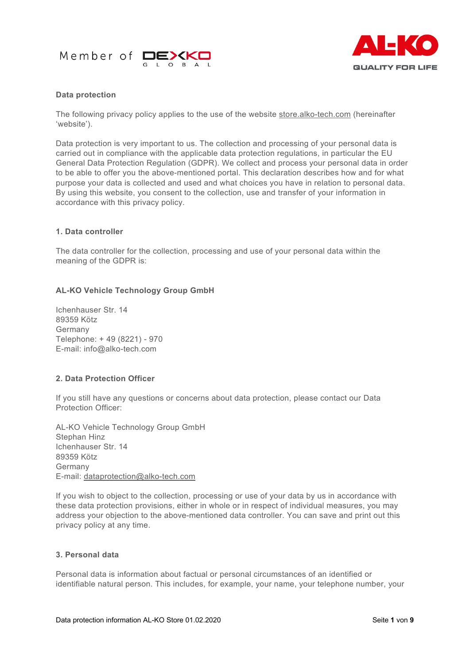



## **Data protection**

The following privacy policy applies to the use of the website [store.alko-tech.com](https://www.store.alko-tech.com/) (hereinafter 'website').

Data protection is very important to us. The collection and processing of your personal data is carried out in compliance with the applicable data protection regulations, in particular the EU General Data Protection Regulation (GDPR). We collect and process your personal data in order to be able to offer you the above-mentioned portal. This declaration describes how and for what purpose your data is collected and used and what choices you have in relation to personal data. By using this website, you consent to the collection, use and transfer of your information in accordance with this privacy policy.

### **1. Data controller**

The data controller for the collection, processing and use of your personal data within the meaning of the GDPR is:

## **AL-KO Vehicle Technology Group GmbH**

Ichenhauser Str. 14 89359 Kötz Germany Telephone: + 49 (8221) - 970 E-mail: info@alko-tech.com

## **2. Data Protection Officer**

If you still have any questions or concerns about data protection, please contact our Data Protection Officer:

AL-KO Vehicle Technology Group GmbH Stephan Hinz Ichenhauser Str. 14 89359 Kötz Germany E-mail: [dataprotection@alko-tech.com](mailto:dataprotection@alko-tech.com)

If you wish to object to the collection, processing or use of your data by us in accordance with these data protection provisions, either in whole or in respect of individual measures, you may address your objection to the above-mentioned data controller. You can save and print out this privacy policy at any time.

### **3. Personal data**

Personal data is information about factual or personal circumstances of an identified or identifiable natural person. This includes, for example, your name, your telephone number, your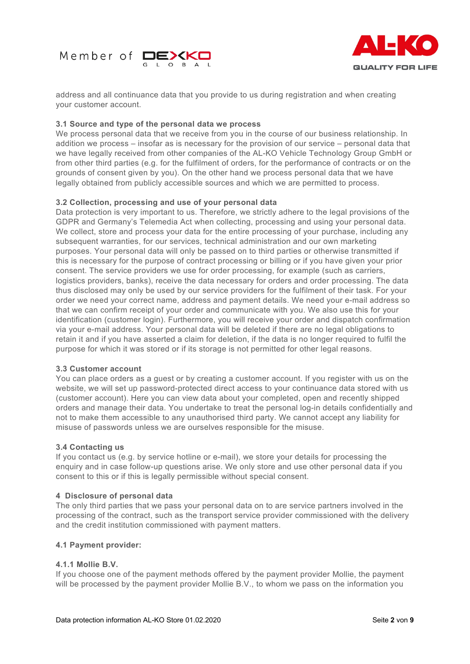



address and all continuance data that you provide to us during registration and when creating your customer account.

### **3.1 Source and type of the personal data we process**

We process personal data that we receive from you in the course of our business relationship. In addition we process – insofar as is necessary for the provision of our service – personal data that we have legally received from other companies of the AL-KO Vehicle Technology Group GmbH or from other third parties (e.g. for the fulfilment of orders, for the performance of contracts or on the grounds of consent given by you). On the other hand we process personal data that we have legally obtained from publicly accessible sources and which we are permitted to process.

### **3.2 Collection, processing and use of your personal data**

Data protection is very important to us. Therefore, we strictly adhere to the legal provisions of the GDPR and Germany's Telemedia Act when collecting, processing and using your personal data. We collect, store and process your data for the entire processing of your purchase, including any subsequent warranties, for our services, technical administration and our own marketing purposes. Your personal data will only be passed on to third parties or otherwise transmitted if this is necessary for the purpose of contract processing or billing or if you have given your prior consent. The service providers we use for order processing, for example (such as carriers, logistics providers, banks), receive the data necessary for orders and order processing. The data thus disclosed may only be used by our service providers for the fulfilment of their task. For your order we need your correct name, address and payment details. We need your e-mail address so that we can confirm receipt of your order and communicate with you. We also use this for your identification (customer login). Furthermore, you will receive your order and dispatch confirmation via your e-mail address. Your personal data will be deleted if there are no legal obligations to retain it and if you have asserted a claim for deletion, if the data is no longer required to fulfil the purpose for which it was stored or if its storage is not permitted for other legal reasons.

### **3.3 Customer account**

You can place orders as a guest or by creating a customer account. If you register with us on the website, we will set up password-protected direct access to your continuance data stored with us (customer account). Here you can view data about your completed, open and recently shipped orders and manage their data. You undertake to treat the personal log-in details confidentially and not to make them accessible to any unauthorised third party. We cannot accept any liability for misuse of passwords unless we are ourselves responsible for the misuse.

### **3.4 Contacting us**

If you contact us (e.g. by service hotline or e-mail), we store your details for processing the enquiry and in case follow-up questions arise. We only store and use other personal data if you consent to this or if this is legally permissible without special consent.

### **4 Disclosure of personal data**

The only third parties that we pass your personal data on to are service partners involved in the processing of the contract, such as the transport service provider commissioned with the delivery and the credit institution commissioned with payment matters.

### **4.1 Payment provider:**

## **4.1.1 Mollie B.V.**

If you choose one of the payment methods offered by the payment provider Mollie, the payment will be processed by the payment provider Mollie B.V., to whom we pass on the information you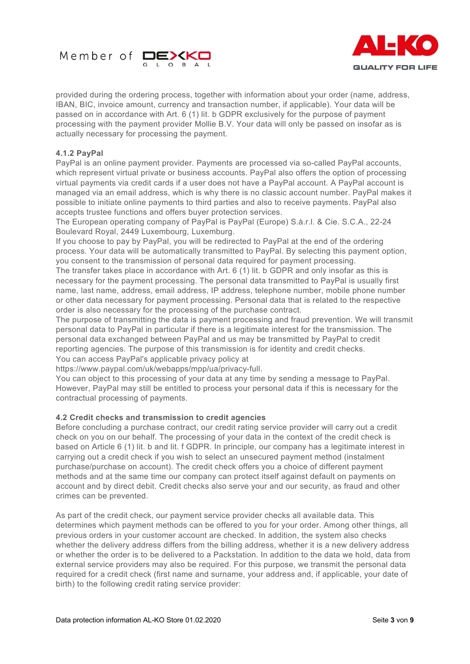



provided during the ordering process, together with information about your order (name, address, IBAN, BIC, invoice amount, currency and transaction number, if applicable). Your data will be passed on in accordance with Art. 6 (1) lit. b GDPR exclusively for the purpose of payment processing with the payment provider Mollie B.V. Your data will only be passed on insofar as is actually necessary for processing the payment.

# **4.1.2 PayPal**

PayPal is an online payment provider. Payments are processed via so-called PayPal accounts, which represent virtual private or business accounts. PayPal also offers the option of processing virtual payments via credit cards if a user does not have a PayPal account. A PayPal account is managed via an email address, which is why there is no classic account number. PayPal makes it possible to initiate online payments to third parties and also to receive payments. PayPal also accepts trustee functions and offers buyer protection services.

The European operating company of PayPal is PayPal (Europe) S.à.r.l. & Cie. S.C.A., 22-24 Boulevard Royal, 2449 Luxembourg, Luxemburg.

If you choose to pay by PayPal, you will be redirected to PayPal at the end of the ordering process. Your data will be automatically transmitted to PayPal. By selecting this payment option, you consent to the transmission of personal data required for payment processing.

The transfer takes place in accordance with Art. 6 (1) lit. b GDPR and only insofar as this is necessary for the payment processing. The personal data transmitted to PayPal is usually first name, last name, address, email address, IP address, telephone number, mobile phone number or other data necessary for payment processing. Personal data that is related to the respective order is also necessary for the processing of the purchase contract.

The purpose of transmitting the data is payment processing and fraud prevention. We will transmit personal data to PayPal in particular if there is a legitimate interest for the transmission. The personal data exchanged between PayPal and us may be transmitted by PayPal to credit reporting agencies. The purpose of this transmission is for identity and credit checks. You can access PayPal's applicable privacy policy at

https://www.paypal.com/uk/webapps/mpp/ua/privacy-full.

You can object to this processing of your data at any time by sending a message to PayPal. However, PayPal may still be entitled to process your personal data if this is necessary for the contractual processing of payments.

## **4.2 Credit checks and transmission to credit agencies**

Before concluding a purchase contract, our credit rating service provider will carry out a credit check on you on our behalf. The processing of your data in the context of the credit check is based on Article 6 (1) lit. b and lit. f GDPR. In principle, our company has a legitimate interest in carrying out a credit check if you wish to select an unsecured payment method (instalment purchase/purchase on account). The credit check offers you a choice of different payment methods and at the same time our company can protect itself against default on payments on account and by direct debit. Credit checks also serve your and our security, as fraud and other crimes can be prevented.

As part of the credit check, our payment service provider checks all available data. This determines which payment methods can be offered to you for your order. Among other things, all previous orders in your customer account are checked. In addition, the system also checks whether the delivery address differs from the billing address, whether it is a new delivery address or whether the order is to be delivered to a Packstation. In addition to the data we hold, data from external service providers may also be required. For this purpose, we transmit the personal data required for a credit check (first name and surname, your address and, if applicable, your date of birth) to the following credit rating service provider: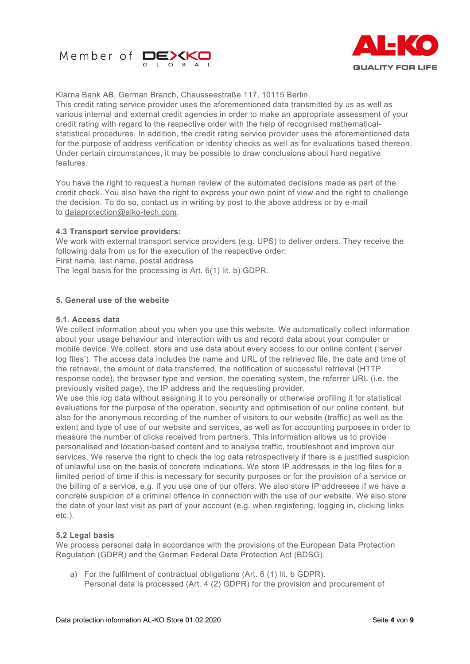



Klarna Bank AB, German Branch, Chausseestraße 117, 10115 Berlin.

This credit rating service provider uses the aforementioned data transmitted by us as well as various internal and external credit agencies in order to make an appropriate assessment of your credit rating with regard to the respective order with the help of recognised mathematicalstatistical procedures. In addition, the credit rating service provider uses the aforementioned data for the purpose of address verification or identity checks as well as for evaluations based thereon. Under certain circumstances, it may be possible to draw conclusions about hard negative features.

You have the right to request a human review of the automated decisions made as part of the credit check. You also have the right to express your own point of view and the right to challenge the decision. To do so, contact us in writing by post to the above address or by e-mail to [dataprotection@alko-tech.com.](mailto:dataprotection@alko-tech.com)

### **4.3 Transport service providers:**

We work with external transport service providers (e.g. UPS) to deliver orders. They receive the following data from us for the execution of the respective order: First name, last name, postal address

The legal basis for the processing is Art. 6(1) lit. b) GDPR.

### **5. General use of the website**

#### **5.1. Access data**

We collect information about you when you use this website. We automatically collect information about your usage behaviour and interaction with us and record data about your computer or mobile device. We collect, store and use data about every access to our online content ('server log files'). The access data includes the name and URL of the retrieved file, the date and time of the retrieval, the amount of data transferred, the notification of successful retrieval (HTTP response code), the browser type and version, the operating system, the referrer URL (i.e. the previously visited page), the IP address and the requesting provider.

We use this log data without assigning it to you personally or otherwise profiling it for statistical evaluations for the purpose of the operation, security and optimisation of our online content, but also for the anonymous recording of the number of visitors to our website (traffic) as well as the extent and type of use of our website and services, as well as for accounting purposes in order to measure the number of clicks received from partners. This information allows us to provide personalised and location-based content and to analyse traffic, troubleshoot and improve our services. We reserve the right to check the log data retrospectively if there is a justified suspicion of unlawful use on the basis of concrete indications. We store IP addresses in the log files for a limited period of time if this is necessary for security purposes or for the provision of a service or the billing of a service, e.g. if you use one of our offers. We also store IP addresses if we have a concrete suspicion of a criminal offence in connection with the use of our website. We also store the date of your last visit as part of your account (e.g. when registering, logging in, clicking links etc.).

#### **5.2 Legal basis**

We process personal data in accordance with the provisions of the European Data Protection Regulation (GDPR) and the German Federal Data Protection Act (BDSG).

a) For the fulfilment of contractual obligations (Art. 6 (1) lit. b GDPR). Personal data is processed (Art. 4 (2) GDPR) for the provision and procurement of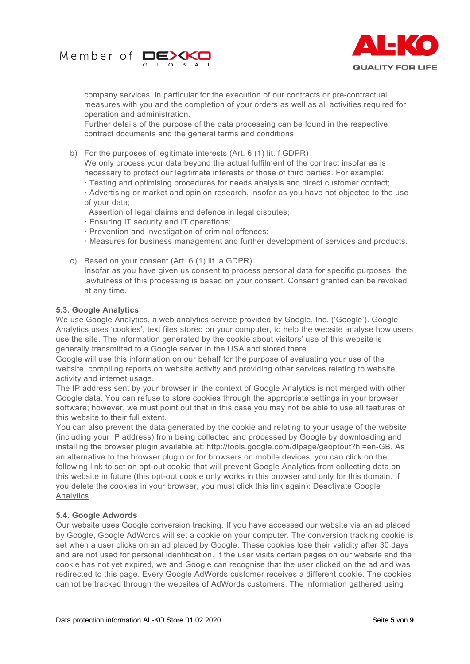



company services, in particular for the execution of our contracts or pre-contractual measures with you and the completion of your orders as well as all activities required for operation and administration.

Further details of the purpose of the data processing can be found in the respective contract documents and the general terms and conditions.

b) For the purposes of legitimate interests (Art. 6 (1) lit. f GDPR)

We only process your data beyond the actual fulfilment of the contract insofar as is necessary to protect our legitimate interests or those of third parties. For example:

· Testing and optimising procedures for needs analysis and direct customer contact;

· Advertising or market and opinion research, insofar as you have not objected to the use of your data;

Assertion of legal claims and defence in legal disputes;

- · Ensuring IT security and IT operations;
- · Prevention and investigation of criminal offences;
- · Measures for business management and further development of services and products.
- c) Based on your consent (Art. 6 (1) lit. a GDPR)

Insofar as you have given us consent to process personal data for specific purposes, the lawfulness of this processing is based on your consent. Consent granted can be revoked at any time.

## **5.3. Google Analytics**

We use Google Analytics, a web analytics service provided by Google, Inc. ('Google'). Google Analytics uses 'cookies', text files stored on your computer, to help the website analyse how users use the site. The information generated by the cookie about visitors' use of this website is generally transmitted to a Google server in the USA and stored there.

Google will use this information on our behalf for the purpose of evaluating your use of the website, compiling reports on website activity and providing other services relating to website activity and internet usage.

The IP address sent by your browser in the context of Google Analytics is not merged with other Google data. You can refuse to store cookies through the appropriate settings in your browser software; however, we must point out that in this case you may not be able to use all features of this website to their full extent.

You can also prevent the data generated by the cookie and relating to your usage of the website (including your IP address) from being collected and processed by Google by downloading and installing the browser plugin available at: [http://tools.google.com/dlpage/gaoptout?hl=en-GB.](https://tools.google.com/dlpage/gaoptout?hl=de) As an alternative to the browser plugin or for browsers on mobile devices, you can click on the following link to set an opt-out cookie that will prevent Google Analytics from collecting data on this website in future (this opt-out cookie only works in this browser and only for this domain. If you delete the cookies in your browser, you must click this link again): [Deactivate Google](https://adssettings.google.com/authenticated)  [Analytics](https://adssettings.google.com/authenticated)

## **5.4. Google Adwords**

Our website uses Google conversion tracking. If you have accessed our website via an ad placed by Google, Google AdWords will set a cookie on your computer. The conversion tracking cookie is set when a user clicks on an ad placed by Google. These cookies lose their validity after 30 days and are not used for personal identification. If the user visits certain pages on our website and the cookie has not yet expired, we and Google can recognise that the user clicked on the ad and was redirected to this page. Every Google AdWords customer receives a different cookie. The cookies cannot be tracked through the websites of AdWords customers. The information gathered using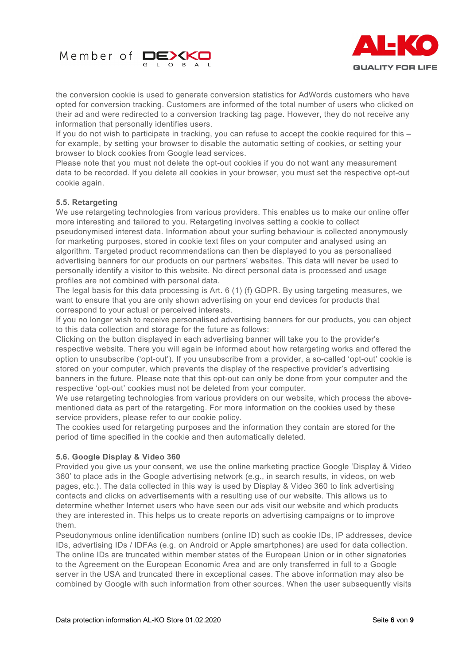



the conversion cookie is used to generate conversion statistics for AdWords customers who have opted for conversion tracking. Customers are informed of the total number of users who clicked on their ad and were redirected to a conversion tracking tag page. However, they do not receive any information that personally identifies users.

If you do not wish to participate in tracking, you can refuse to accept the cookie required for this – for example, by setting your browser to disable the automatic setting of cookies, or setting your browser to block cookies from Google lead services.

Please note that you must not delete the opt-out cookies if you do not want any measurement data to be recorded. If you delete all cookies in your browser, you must set the respective opt-out cookie again.

### **5.5. Retargeting**

We use retargeting technologies from various providers. This enables us to make our online offer more interesting and tailored to you. Retargeting involves setting a cookie to collect pseudonymised interest data. Information about your surfing behaviour is collected anonymously for marketing purposes, stored in cookie text files on your computer and analysed using an algorithm. Targeted product recommendations can then be displayed to you as personalised advertising banners for our products on our partners' websites. This data will never be used to personally identify a visitor to this website. No direct personal data is processed and usage profiles are not combined with personal data.

The legal basis for this data processing is Art. 6 (1) (f) GDPR. By using targeting measures, we want to ensure that you are only shown advertising on your end devices for products that correspond to your actual or perceived interests.

If you no longer wish to receive personalised advertising banners for our products, you can object to this data collection and storage for the future as follows:

Clicking on the button displayed in each advertising banner will take you to the provider's respective website. There you will again be informed about how retargeting works and offered the option to unsubscribe ('opt-out'). If you unsubscribe from a provider, a so-called 'opt-out' cookie is stored on your computer, which prevents the display of the respective provider's advertising banners in the future. Please note that this opt-out can only be done from your computer and the respective 'opt-out' cookies must not be deleted from your computer.

We use retargeting technologies from various providers on our website, which process the abovementioned data as part of the retargeting. For more information on the cookies used by these service providers, please refer to our cookie policy.

The cookies used for retargeting purposes and the information they contain are stored for the period of time specified in the cookie and then automatically deleted.

## **5.6. Google Display & Video 360**

Provided you give us your consent, we use the online marketing practice Google 'Display & Video 360' to place ads in the Google advertising network (e.g., in search results, in videos, on web pages, etc.). The data collected in this way is used by Display & Video 360 to link advertising contacts and clicks on advertisements with a resulting use of our website. This allows us to determine whether Internet users who have seen our ads visit our website and which products they are interested in. This helps us to create reports on advertising campaigns or to improve them.

Pseudonymous online identification numbers (online ID) such as cookie IDs, IP addresses, device IDs, advertising IDs / IDFAs (e.g. on Android or Apple smartphones) are used for data collection. The online IDs are truncated within member states of the European Union or in other signatories to the Agreement on the European Economic Area and are only transferred in full to a Google server in the USA and truncated there in exceptional cases. The above information may also be combined by Google with such information from other sources. When the user subsequently visits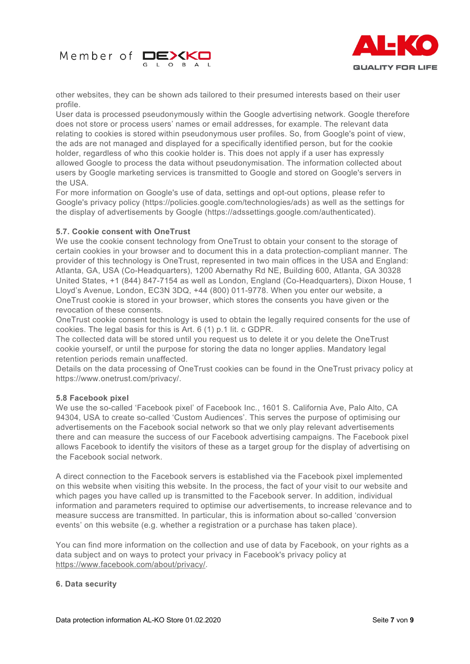



other websites, they can be shown ads tailored to their presumed interests based on their user profile.

User data is processed pseudonymously within the Google advertising network. Google therefore does not store or process users' names or email addresses, for example. The relevant data relating to cookies is stored within pseudonymous user profiles. So, from Google's point of view, the ads are not managed and displayed for a specifically identified person, but for the cookie holder, regardless of who this cookie holder is. This does not apply if a user has expressly allowed Google to process the data without pseudonymisation. The information collected about users by Google marketing services is transmitted to Google and stored on Google's servers in the USA.

For more information on Google's use of data, settings and opt-out options, please refer to Google's privacy policy (https://policies.google.com/technologies/ads) as well as the settings for the display of advertisements by Google (https://adssettings.google.com/authenticated).

### **5.7. Cookie consent with OneTrust**

We use the cookie consent technology from OneTrust to obtain your consent to the storage of certain cookies in your browser and to document this in a data protection-compliant manner. The provider of this technology is OneTrust, represented in two main offices in the USA and England: Atlanta, GA, USA (Co-Headquarters), 1200 Abernathy Rd NE, Building 600, Atlanta, GA 30328 United States, +1 (844) 847-7154 as well as London, England (Co-Headquarters), Dixon House, 1 Lloyd's Avenue, London, EC3N 3DQ, +44 (800) 011-9778. When you enter our website, a OneTrust cookie is stored in your browser, which stores the consents you have given or the revocation of these consents.

OneTrust cookie consent technology is used to obtain the legally required consents for the use of cookies. The legal basis for this is Art. 6 (1) p.1 lit. c GDPR.

The collected data will be stored until you request us to delete it or you delete the OneTrust cookie yourself, or until the purpose for storing the data no longer applies. Mandatory legal retention periods remain unaffected.

Details on the data processing of OneTrust cookies can be found in the OneTrust privacy policy at https://www.onetrust.com/privacy/.

### **5.8 Facebook pixel**

We use the so-called 'Facebook pixel' of Facebook Inc., 1601 S. California Ave, Palo Alto, CA 94304, USA to create so-called 'Custom Audiences'. This serves the purpose of optimising our advertisements on the Facebook social network so that we only play relevant advertisements there and can measure the success of our Facebook advertising campaigns. The Facebook pixel allows Facebook to identify the visitors of these as a target group for the display of advertising on the Facebook social network.

A direct connection to the Facebook servers is established via the Facebook pixel implemented on this website when visiting this website. In the process, the fact of your visit to our website and which pages you have called up is transmitted to the Facebook server. In addition, individual information and parameters required to optimise our advertisements, to increase relevance and to measure success are transmitted. In particular, this is information about so-called 'conversion events' on this website (e.g. whether a registration or a purchase has taken place).

You can find more information on the collection and use of data by Facebook, on your rights as a data subject and on ways to protect your privacy in Facebook's privacy policy at [https://www.facebook.com/about/privacy/.](https://www.facebook.com/about/privacy/)

### **6. Data security**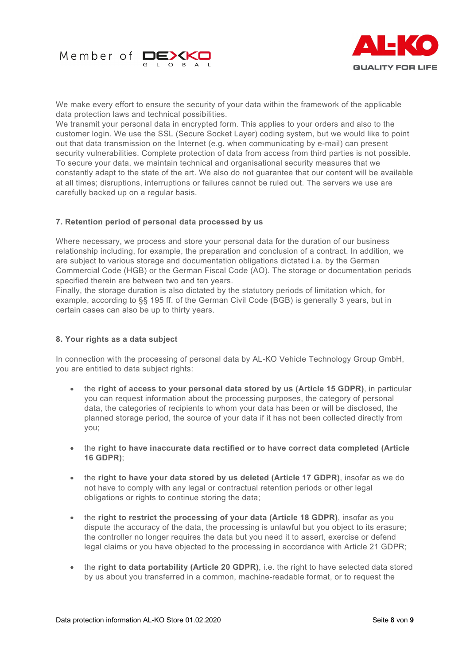



We make every effort to ensure the security of your data within the framework of the applicable data protection laws and technical possibilities.

We transmit your personal data in encrypted form. This applies to your orders and also to the customer login. We use the SSL (Secure Socket Layer) coding system, but we would like to point out that data transmission on the Internet (e.g. when communicating by e-mail) can present security vulnerabilities. Complete protection of data from access from third parties is not possible. To secure your data, we maintain technical and organisational security measures that we constantly adapt to the state of the art. We also do not guarantee that our content will be available at all times; disruptions, interruptions or failures cannot be ruled out. The servers we use are carefully backed up on a regular basis.

### **7. Retention period of personal data processed by us**

Where necessary, we process and store your personal data for the duration of our business relationship including, for example, the preparation and conclusion of a contract. In addition, we are subject to various storage and documentation obligations dictated i.a. by the German Commercial Code (HGB) or the German Fiscal Code (AO). The storage or documentation periods specified therein are between two and ten years.

Finally, the storage duration is also dictated by the statutory periods of limitation which, for example, according to §§ 195 ff. of the German Civil Code (BGB) is generally 3 years, but in certain cases can also be up to thirty years.

## **8. Your rights as a data subject**

In connection with the processing of personal data by AL-KO Vehicle Technology Group GmbH, you are entitled to data subject rights:

- the **right of access to your personal data stored by us (Article 15 GDPR)**, in particular you can request information about the processing purposes, the category of personal data, the categories of recipients to whom your data has been or will be disclosed, the planned storage period, the source of your data if it has not been collected directly from you;
- the **right to have inaccurate data rectified or to have correct data completed (Article 16 GDPR)**;
- the **right to have your data stored by us deleted (Article 17 GDPR)**, insofar as we do not have to comply with any legal or contractual retention periods or other legal obligations or rights to continue storing the data;
- the **right to restrict the processing of your data (Article 18 GDPR)**, insofar as you dispute the accuracy of the data, the processing is unlawful but you object to its erasure; the controller no longer requires the data but you need it to assert, exercise or defend legal claims or you have objected to the processing in accordance with Article 21 GDPR;
- the **right to data portability (Article 20 GDPR)**, i.e. the right to have selected data stored by us about you transferred in a common, machine-readable format, or to request the